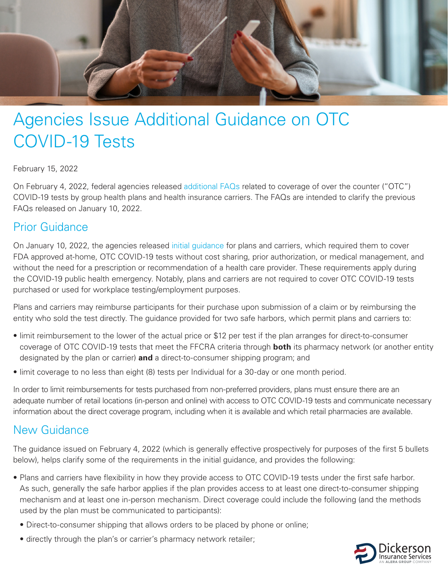

## Agencies Issue Additional Guidance on OTC COVID-19 Tests

## February 15, 2022

On February 4, 2022, federal agencies released [additional FAQs](https://www.dol.gov/agencies/ebsa/about-ebsa/our-activities/resource-center/faqs/aca-part-52) related to coverage of over the counter ("OTC") COVID-19 tests by group health plans and health insurance carriers. The FAQs are intended to clarify the previous FAQs released on January 10, 2022.

## Prior Guidance

On January 10, 2022, the agencies released [initial guidance](https://www.dol.gov/sites/dolgov/files/EBSA/about-ebsa/our-activities/resource-center/faqs/aca-part-51.pdf) for plans and carriers, which required them to cover FDA approved at-home, OTC COVID-19 tests without cost sharing, prior authorization, or medical management, and without the need for a prescription or recommendation of a health care provider. These requirements apply during the COVID-19 public health emergency. Notably, plans and carriers are not required to cover OTC COVID-19 tests purchased or used for workplace testing/employment purposes.

Plans and carriers may reimburse participants for their purchase upon submission of a claim or by reimbursing the entity who sold the test directly. The guidance provided for two safe harbors, which permit plans and carriers to:

- limit reimbursement to the lower of the actual price or \$12 per test if the plan arranges for direct-to-consumer coverage of OTC COVID-19 tests that meet the FFCRA criteria through **both** its pharmacy network (or another entity designated by the plan or carrier) **and** a direct-to-consumer shipping program; and
- limit coverage to no less than eight (8) tests per Individual for a 30-day or one month period.

In order to limit reimbursements for tests purchased from non-preferred providers, plans must ensure there are an adequate number of retail locations (in-person and online) with access to OTC COVID-19 tests and communicate necessary information about the direct coverage program, including when it is available and which retail pharmacies are available.

## New Guidance

The guidance issued on February 4, 2022 (which is generally effective prospectively for purposes of the first 5 bullets below), helps clarify some of the requirements in the initial guidance, and provides the following:

- Plans and carriers have flexibility in how they provide access to OTC COVID-19 tests under the first safe harbor. As such, generally the safe harbor applies if the plan provides access to at least one direct-to-consumer shipping mechanism and at least one in-person mechanism. Direct coverage could include the following (and the methods used by the plan must be communicated to participants):
	- Direct-to-consumer shipping that allows orders to be placed by phone or online;
	- directly through the plan's or carrier's pharmacy network retailer;